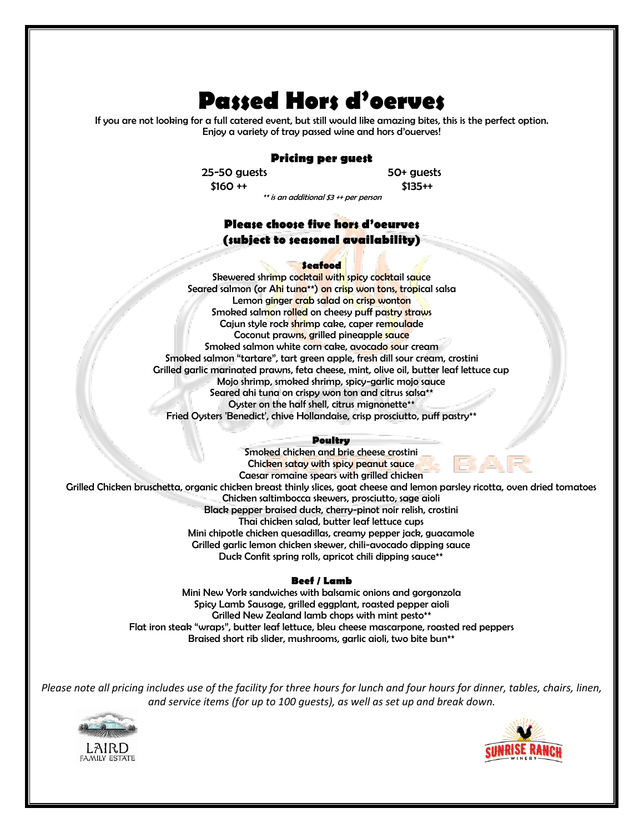# **Passed Hors d'oerves**

If you are not looking for a full catered event, but still would like amazing bites, this is the perfect option. Enjoy a variety of tray passed wine and hors d'ouerves!

# **Pricing per guest**

 25-50 guests 50+ guests  $$160 ++$   $$135++$ 

\*\* is an additional \$3 ++ per person

# **Please choose five hors d'oeurves (subject to seasonal availability)**

### **Seafood**

Skewered shrimp cocktail with spicy cocktail sauce Seared salmon (or Ahi tuna\*\*) on crisp won tons, tropical salsa Lemon ginger crab salad on crisp wonton Smoked salmon rolled on cheesy puff pastry straws Cajun style rock shrimp cake, caper remoulade Coconut prawns, grilled pineapple sauce Smoked salmon white corn cake, avocado sour cream Smoked salmon "tartare", tart green apple, fresh dill sour cream, crostini Grilled garlic marinated prawns, feta cheese, mint, olive oil, butter leaf lettuce cup Mojo shrimp, smoked shrimp, spicy-garlic mojo sauce Seared ahi tuna on crispy won ton and citrus salsa\*\* Oyster on the half shell, citrus mignonette\*\* Fried Oysters 'Benedict', chive Hollandaise, crisp prosciutto, puff pastry\*\*

#### **Poultry**

Smoked chicken and brie cheese crostini Chicken satay with spicy peanut sauce Caesar romaine spears with grilled chicken Grilled Chicken bruschetta, organic chicken breast thinly slices, goat cheese and lemon parsley ricotta, oven dried tomatoes Chicken saltimbocca skewers, prosciutto, sage aioli Black pepper braised duck, cherry-pinot noir relish, crostini Thai chicken salad, butter leaf lettuce cups Mini chipotle chicken quesadillas, creamy pepper jack, guacamole Grilled garlic lemon chicken skewer, chili-avocado dipping sauce Duck Confit spring rolls, apricot chili dipping sauce\*\*

#### **Beef / Lamb**

Mini New York sandwiches with balsamic onions and gorgonzola Spicy Lamb Sausage, grilled eggplant, roasted pepper aioli Grilled New Zealand lamb chops with mint pesto\*\* Flat iron steak "wraps", butter leaf lettuce, bleu cheese mascarpone, roasted red peppers Braised short rib slider, mushrooms, garlic aioli, two bite bun<sup>\*\*</sup>

*Please note all pricing includes use of the facility for three hours for lunch and four hours for dinner, tables, chairs, linen, and service items (for up to 100 guests), as well as set up and break down.*



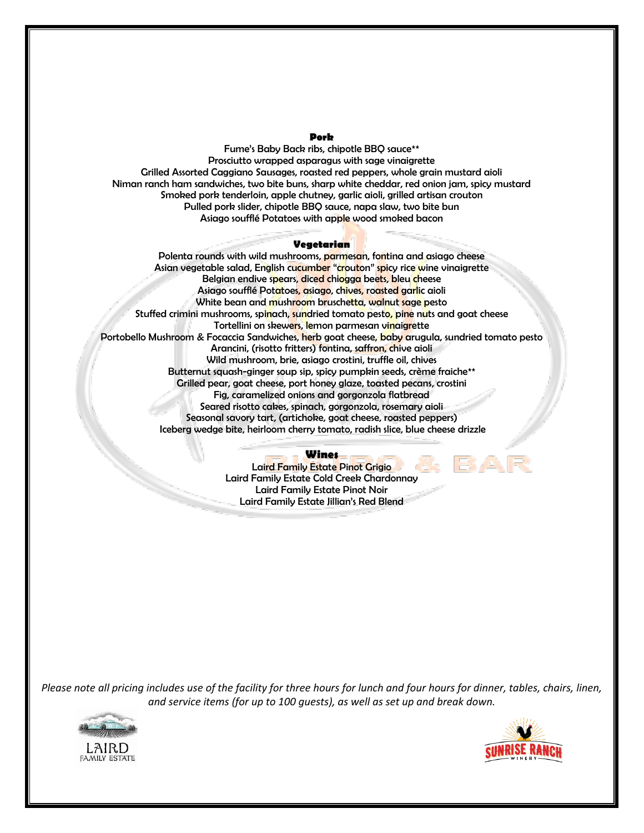#### **Pork**

Fume's Baby Back ribs, chipotle BBQ sauce\*\* Prosciutto wrapped asparagus with sage vinaigrette Grilled Assorted Caggiano Sausages, roasted red peppers, whole grain mustard aioli Niman ranch ham sandwiches, two bite buns, sharp white cheddar, red onion jam, spicy mustard Smoked pork tenderloin, apple chutney, garlic aioli, grilled artisan crouton Pulled pork slider, chipotle BBQ sauce, napa slaw, two bite bun Asiago soufflé Potatoes with apple wood smoked bacon

## **Vegetarian**

Polenta rounds with wild mushrooms, parmesan, fontina and asiago cheese Asian vegetable salad, English cucumber "crouton" spicy rice wine vinaigrette Belgian endive spears, diced chiogga beets, bleu cheese Asiago soufflé Potatoes, asiago, chives, roasted garlic aioli White bean and mushroom bruschetta, walnut sage pesto Stuffed crimini mushrooms, spinach, sundried tomato pesto, pine nuts and goat cheese Tortellini on skewers, lemon parmesan vinaigrette Portobello Mushroom & Focaccia Sandwiches, herb goat cheese, baby arugula, sundried tomato pesto Arancini, (risotto fritters) fontina, saffron, chive aioli Wild mushroom, brie, asiago crostini, truffle oil, chives Butternut squash-ginger soup sip, spicy pumpkin seeds, crème fraiche\*\* Grilled pear, goat cheese, port honey glaze, toasted pecans, crostini Fig, caramelized onions and gorgonzola flatbread Seared risotto cakes, spinach, gorgonzola, rosemary aioli Seasonal savory tart, (artichoke, goat cheese, roasted peppers) Iceberg wedge bite, heirloom cherry tomato, radish slice, blue cheese drizzle

# **Wines**

Laird Family Estate Pinot Grigio Laird Family Estate Cold Creek Chardonnay Laird Family Estate Pinot Noir Laird Family Estate Jillian's Red Blend

*Please note all pricing includes use of the facility for three hours for lunch and four hours for dinner, tables, chairs, linen, and service items (for up to 100 guests), as well as set up and break down.*